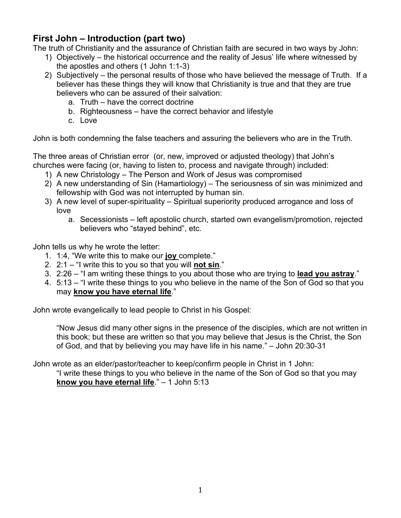## **First John – Introduction (part two)**

The truth of Christianity and the assurance of Christian faith are secured in two ways by John:

- 1) Objectively the historical occurrence and the reality of Jesus' life where witnessed by the apostles and others (1 John 1:1-3)
- 2) Subjectively the personal results of those who have believed the message of Truth. If a believer has these things they will know that Christianity is true and that they are true believers who can be assured of their salvation:
	- a. Truth have the correct doctrine
	- b. Righteousness have the correct behavior and lifestyle
	- c. Love

John is both condemning the false teachers and assuring the believers who are in the Truth.

The three areas of Christian error (or, new, improved or adjusted theology) that John's churches were facing (or, having to listen to, process and navigate through) included:

- 1) A new Christology The Person and Work of Jesus was compromised
- 2) A new understanding of Sin (Hamartiology) The seriousness of sin was minimized and fellowship with God was not interrupted by human sin.
- 3) A new level of super-spirituality Spiritual superiority produced arrogance and loss of love
	- a. Secessionists left apostolic church, started own evangelism/promotion, rejected believers who "stayed behind", etc.

John tells us why he wrote the letter:

- 1. 1:4, "We write this to make our **joy** complete."
- 2. 2:1 "I write this to you so that you will **not sin**."
- 3. 2:26 "I am writing these things to you about those who are trying to **lead you astray**."
- 4. 5:13 "I write these things to you who believe in the name of the Son of God so that you may **know you have eternal life**."

John wrote evangelically to lead people to Christ in his Gospel:

"Now Jesus did many other signs in the presence of the disciples, which are not written in this book; but these are written so that you may believe that Jesus is the Christ, the Son of God, and that by believing you may have life in his name." – John 20:30-31

John wrote as an elder/pastor/teacher to keep/confirm people in Christ in 1 John: "I write these things to you who believe in the name of the Son of God so that you may **know you have eternal life**." – 1 John 5:13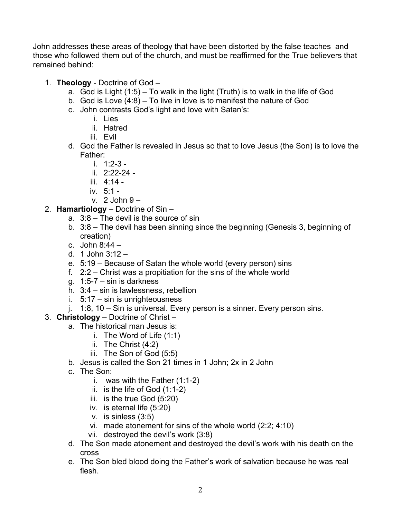John addresses these areas of theology that have been distorted by the false teaches and those who followed them out of the church, and must be reaffirmed for the True believers that remained behind:

- 1. **Theology**  Doctrine of God
	- a. God is Light (1:5) To walk in the light (Truth) is to walk in the life of God
	- b. God is Love (4:8) To live in love is to manifest the nature of God
	- c. John contrasts God's light and love with Satan's:
		- i. Lies
		- ii. Hatred
		- iii. Evil
	- d. God the Father is revealed in Jesus so that to love Jesus (the Son) is to love the Father:
		- i. 1:2-3 -
		- ii. 2:22-24 -
		- iii. 4:14 -
		- iv. 5:1 -
		- v.  $2$  John  $9 -$
- 2. **Hamartiology**  Doctrine of Sin
	- a. 3:8 The devil is the source of sin
	- b. 3:8 The devil has been sinning since the beginning (Genesis 3, beginning of creation)
	- c. John 8:44 –
	- d. 1 John 3:12 –
	- e. 5:19 Because of Satan the whole world (every person) sins
	- f. 2:2 Christ was a propitiation for the sins of the whole world
	- g. 1:5-7 sin is darkness
	- h. 3:4 sin is lawlessness, rebellion
	- i. 5:17 sin is unrighteousness
	- j. 1:8, 10 Sin is universal. Every person is a sinner. Every person sins.
- 3. **Christology** Doctrine of Christ
	- a. The historical man Jesus is:
		- i. The Word of Life (1:1)
		- ii. The Christ (4:2)
		- iii. The Son of God (5:5)
	- b. Jesus is called the Son 21 times in 1 John; 2x in 2 John
	- c. The Son:
		- i. was with the Father (1:1-2)
		- ii. is the life of God (1:1-2)
		- iii. is the true God (5:20)
		- iv. is eternal life (5:20)
		- v. is sinless (3:5)
		- vi. made atonement for sins of the whole world (2:2; 4:10)
		- vii. destroyed the devil's work (3:8)
	- d. The Son made atonement and destroyed the devil's work with his death on the cross
	- e. The Son bled blood doing the Father's work of salvation because he was real flesh.